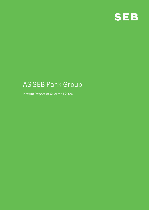

# **AS SEB Pank Group**

**Interim Report of Quarter I 2020**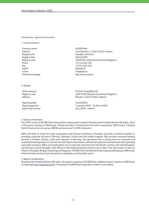#### **Introduction - general information**

**1. Credit institution**

**Company name AS SEB Pank Registered in Republic of Estonia Registry date 08/12/1995 Phone +372 6 655 100 Fax +372 6 655 102 SWIFT EEUHEE2X e-mail info@seb.ee Internet homepage http://www.seb.ee** 

**Address Tornimäe Str. 2, Tallinn 15010, Estonia Registry code 10004252 (Estonian Commercial Register)**

**2. Auditor**

**Reporting date 31/03/2020**

**Audit company Ernst & Young Baltic AS Registry code 10877299 (Estonian Commercial Register) Address Rävala 4, 10143 Tallinn, Estonia**

**Reporting period 1 January 2020 - 31 March 2020 Reporting currency Euro (EUR), millions**

**3. General information**

**The 100% owner of AS SEB Pank is the publicly traded parent company Skandinaviska Enskilda Banken AB (publ), which is the parent company of SEB Group, a Nordic provider of financial services with a long history. SEB Group is a leading Nordic financial services group. SEB Group has around 15,000 employees.** 

**SEB is the bank of choice for large corporations and financial institutions in Sweden and holds a forefront position in providing corporate services in Norway, Denmark, Finland and the United Kingdom. SEB provides universal banking services in Sweden, Estonia, Latvia and Lithuania. In Germany, the operations have a strong focus on corporate and investment banking based on a full-service offering to corporations, institutional customers and internationally operating real estate investors. SEB is well positioned to serve corporate customers from the Nordic countries, the United Kingdom and Germany around the globe, with offices in international financial centres such as New York and London, in Asia via offices in Shanghai, Beijing, Hong Kong and Singapore. AS SEB Pank is an Estonian financial group belonging to SEB Group, which provides services to private persons, companies, and the public sector.**

**4. Basis for preparation**

**Skandinaviska Enskilda Banken AB (publ), the parent company of AS SEB Pank, publishes interim reports for SEB Group on web page www.sebgroup.com/ir. The present AS SEB Pank Group interim report is not audited.**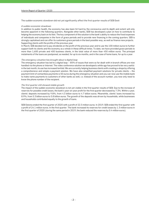**The sudden economic slowdown did not yet significantly affect the first quarter results of SEB Eesti**

## **A sudden economic slowdown**

**In addition to public health, the economy has also been hit hard by the coronavirus and its depth and extent will only become apparent in the following quarters. Alongside other banks, SEB has developed a plan on how to contribute to helping the economy back on its feet. The key component of this solution is the bank's ability to reduce the fixed expenses of individuals and companies in the form of grace periods and to provide new financing in the coming quarters. SEB is strongly capitalised and can offer its customers grace periods in the best possible way, as well as finance new projects. Supporting clients with the profits of the previous year**

**In March, SEB decided not to pay dividends on the profit of the previous year and to use the 100 million euros to further support both its clients and the economy as a whole in these difficult times. To date, we have provided grace periods to more than 1,600 private and 400 business clients, in the total value of more than 450 million euros. The principal instalments of the loans are postponed, as needed, for up to six months, and in the case of home loans, for up to a year.**

#### **The emergency situation has brought about a digital leap**

**The emergency situation has led to a digital leap – 85% of issues that were so far dealt with in branch offices are now handled via the phone or Internet. The video conference solution we developed a while ago has proved to be very useful: in the last month, its use has increased tenfold. We are currently helping business clients with creating e-shops by offering a comprehensive and simple e-payment solution. We have also simplified payment solutions for private clients – the payment limit of contactless payments is 50 euros during the emergency situation and you can now use the mobile bank to make name payments to customers of other banks as well, i.e. instead of the account number, you now only need to know the phone number of the recipient.**

## **The first quarter still showed stable growth**

**The impact of the sudden economic slowdown is not yet visible in the first quarter results of SEB. Due to the increase of reserves for possible credit losses, the bank's year-on-year profit for the first quarter decreased by 7.3%. Within a year, clients' deposits increased by 9.8%, from 4.3 billion euros to 4.7 billion euros. Meanwhile, clients' loans increased by 8.9%, from 5.3 billion euros to 5.8 billion euros. The growth of the deposits was driven by households, while businesses and households contributed equally to the growth of loans.**

**SEB Estonia ended the first quarter of 2020 with a profit of 22.3 million euros. In 2019, SEB ended the first quarter with a profit of 24.1 million euros. In the first quarter. The bank increased its reserves for credit losses by 1.3 million euros in the first quarter of 2020 (during the same period in 2019, the bank reduced the reserves by 0.4 million euros).**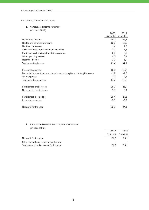## **Consolidated financial statements**

**1. Consolidated income statement**

| (millions of EUR)                                                           |          |          |
|-----------------------------------------------------------------------------|----------|----------|
|                                                                             | 2020     | 2019     |
|                                                                             | 3 months | 3 months |
| Net interest income                                                         | 29,7     | 26,7     |
| Net fee and commission income                                               | 12,0     | 12,2     |
| Net financial income                                                        | 1,4      | 1,3      |
| Gains less losses from investment securities                                | $-2,0$   | 1,8      |
| Profit and loss from investments in associates                              | 0,0      | 0,0      |
| Other operating income                                                      | 0,3      | 0,1      |
| Net other income                                                            | $-1,7$   | 1,9      |
| Total operating income                                                      | 41,4     | 42,1     |
| Personnel expenses                                                          | $-10,8$  | $-10,7$  |
| Depreciation, amortization and impairment of tangible and intangible assets | $-1,9$   | $-1,8$   |
| Other expenses                                                              | $-2,0$   | $-2,7$   |
| Total operating expenses                                                    | $-14,7$  | $-15,2$  |
| Profit before credit losses                                                 | 26,7     | 26,9     |
| Net expected credit losses                                                  | $-1,3$   | 0,4      |
| Profit before income tax                                                    | 25,4     | 27,3     |
| Income tax expense                                                          | $-3,1$   | $-3,2$   |
| Net profit for the year                                                     | 22,3     | 24,1     |

# **2. Consolidated statement of comprehensive income (millions of EUR)**

|                                         | 2020     | 2019     |
|-----------------------------------------|----------|----------|
|                                         | 3 months | 3 months |
| Net profit for the year                 | 22.3     | 24.1     |
| Other comprehensive income for the year |          |          |
| Total comprehensive income for the year | 22.3     | 24.1     |
|                                         |          |          |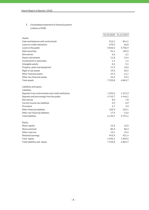**3. Consolidated statement of financial position (millions of EUR)**

|                                                     |             | 31.03.2020 31.12.2019 |
|-----------------------------------------------------|-------------|-----------------------|
| Assets                                              |             |                       |
| Cash and balances with central bank                 | 512,1       | 844,1                 |
| Loans to credit institutions                        | 670,9       | 66,0                  |
| Loans to the public                                 | 5840,2      | 5706,9                |
| Debt securities                                     | 94,1        | 159,2                 |
| Derivatives                                         | 6,6         | 6,1                   |
| Equity instruments                                  | 11,8        | 13,4                  |
| Investments in associates                           | 1,4         | 1,4                   |
| Intangible assets                                   | 5,6         | 5,1                   |
| Property, plant and equipment                       | 11,9        | 10,6                  |
| Right of use assets                                 | 19,5        | 20,4                  |
| Other financial assets                              | 27,5        | 11,1                  |
| Other non-financial assets                          | 24,2        | 19,4                  |
| Total assets                                        | 7 2 2 5, 8  | 6863,7                |
| Liabilities and equity                              |             |                       |
| Liabilities                                         |             |                       |
| Deposits from central banks and credit institutions | 1255,6      | 1 2 1 2, 3            |
| Deposits and borrowings from the public             | 4743,7      | 4446,1                |
| Derivatives                                         | 8,0         | 7,8                   |
| Current income tax liabilities                      | 2,9         | 6,9                   |
| Provisions                                          | 2,7         | 3,3                   |
| Other financial liabilities                         | 102,9       | 104,1                 |
| Other non-financial liabilities                     | 17,9        | 13,6                  |
| <b>Total liabilities</b>                            | 6 1 3 3 , 7 | 5794,1                |
| Equity                                              |             |                       |
| Share capital                                       | 42,5        | 42,5                  |
| Share premium                                       | 86,3        | 86,3                  |
| Other reserves                                      | 19,4        | 19,4                  |
| Retained earnings                                   | 943,9       | 921,4                 |
| Total equity                                        | 1092,1      | 1069,6                |
| Total liabilities and equity                        | 7 2 2 5, 8  | 6863,7                |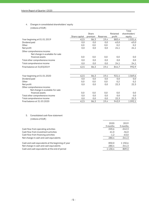## **4. Changes in consolidated shareholders' equity (millions of EUR)**

|                                  |               |         |          |          | Total         |
|----------------------------------|---------------|---------|----------|----------|---------------|
|                                  |               | Share   |          | Retained | shareholders' |
|                                  | Share capital | premium | Reserves | profit   | equity        |
| Year beginning at 01.01.2019     | 42,5          | 86,3    | 19,4     | 883,4    | 1031,6        |
| Dividend paid                    | 0,0           | 0,0     | 0,0      | $-63.0$  | $-63,0$       |
| Other                            | 0,0           | 0,0     | 0,0      | 0,2      | 0,2           |
| Net profit                       | 0,0           | 0,0     | 0,0      | 24,1     | 24,1          |
| Other comprehensive income:      |               |         |          |          |               |
| Net change in available-for-sale |               |         |          |          |               |
| financial assets                 | 0,0           | 0,0     | 0,0      | 0,0      | 0,0           |
| Total other comprehensive income | 0,0           | 0,0     | 0,0      | 0,0      | 0,0           |
| Total comprehensive income       | 0,0           | 0,0     | 0,0      | 24,1     | 24,1          |
| Final balance at 31/03/2019      | 42,5          | 86,3    | 19,4     | 844,7    | 992,9         |
|                                  |               |         |          |          |               |
| Year beginning at 01.01.2020     | 42,5          | 86,3    | 19,4     | 921,4    | 1069,6        |
| Dividend paid                    | 0,0           | 0,0     | 0,0      | 0,0      | 0,0           |
| Other                            | 0,0           | 0,0     | 0,0      | 0,2      | 0,2           |
| Net profit                       | 0,0           | 0,0     | 0,0      | 22,3     | 22,3          |
| Other comprehensive income:      |               |         |          |          |               |
| Net change in available-for-sale |               |         |          |          |               |
| financial assets                 | 0,0           | 0,0     | 0,0      | 0,0      | 0,0           |
| Total other comprehensive income | 0,0           | 0,0     | 0,0      | 0,0      | 0,0           |
| Total comprehensive income       | 0,0           | 0,0     | 0,0      | 22,3     | 22,3          |
| Final balance at 31.03.2020      | 42,5          | 86,3    | 19,4     | 943,9    | 1092,1        |

## **5. Consolidated cash flow statement (millions of EUR)**

|                                                    | 2020      | 2019     |
|----------------------------------------------------|-----------|----------|
|                                                    | 3 months  | 3 months |
| Cash flow from operating activities                | 220,6     | -242.3   |
| Cash flow from investment activities               | 61.0      | -36.0    |
| Cash flow from financing activities                | $-1,2$    | $-63,0$  |
| Net change in cash and cash equivalents            | 280,4     | -341.3   |
| Cash and cash equivalents at the beginning of year | 850.0     | 1 150,6  |
| Net change in cash and cash equivalents            | 280,4     | $-341.3$ |
| Cash and cash equivalents at the end of period     | 1 1 3 0 4 | 809,3    |
|                                                    |           |          |